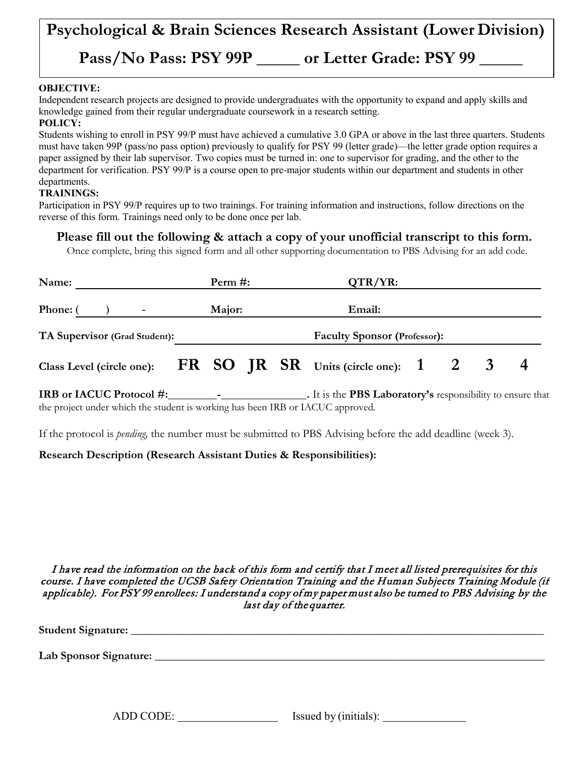# **Psychological & Brain Sciences Research Assistant (Lower Division) Pass/No Pass: PSY 99P \_\_\_\_\_ or Letter Grade: PSY 99 \_\_\_\_\_**

### **OBJECTIVE:**

Independent research projects are designed to provide undergraduates with the opportunity to expand and apply skills and knowledge gained from their regular undergraduate coursework in a research setting.

#### **POLICY:**

Students wishing to enroll in PSY 99/P must have achieved a cumulative 3.0 GPA or above in the last three quarters. Students must have taken 99P (pass/no pass option) previously to qualify for PSY 99 (letter grade)—the letter grade option requires a paper assigned by their lab supervisor. Two copies must be turned in: one to supervisor for grading, and the other to the department for verification. PSY 99/P is a course open to pre-major students within our department and students in other departments.

#### **TRAININGS:**

Participation in PSY 99/P requires up to two trainings. For training information and instructions, follow directions on the reverse of this form. Trainings need only to be done once per lab.

**Please fill out the following & attach a copy of your unofficial transcript to this form.**

Once complete, bring this signed form and all other supporting documentation to PBS Advising for an add code.

| Name:                                                                      | Perm $#$ : |  |  | $QTR/YR$ :                          |        |  |  |              |  |
|----------------------------------------------------------------------------|------------|--|--|-------------------------------------|--------|--|--|--------------|--|
| Phone: (                                                                   | Major:     |  |  |                                     | Email: |  |  |              |  |
| TA Supervisor (Grad Student):                                              |            |  |  | <b>Faculty Sponsor (Professor):</b> |        |  |  |              |  |
| Class Level (circle one): $\overline{FR}$ SO JR SR Units (circle one): 1 2 |            |  |  |                                     |        |  |  | $\mathbf{3}$ |  |

**IRB or IACUC Protocol #: - .** It is the **PBS Laboratory's** responsibility to ensure that the project under which the student is working has been IRB or IACUC approved.

If the protocol is *pending,* the number must be submitted to PBS Advising before the add deadline (week 3).

## **Research Description (Research Assistant Duties & Responsibilities):**

I have read the information on the back of this form and certify that I meet all listed prerequisites for this course. I have completed the UCSB Safety Orientation Training and the Human Subjects Training Module (if applicable). For PSY 99 enrollees: I understand a copy of my paper must also be turned to PBS Advising by the last day of the quarter.

**Student Signature:** \_\_\_\_\_\_\_\_\_\_\_\_\_\_\_\_\_\_\_\_\_\_\_\_\_\_\_\_\_\_\_\_\_\_\_\_\_\_\_\_\_\_\_\_\_\_\_\_\_\_\_\_\_\_\_\_\_\_\_\_\_\_\_\_\_\_\_\_\_\_\_\_

**Lab Sponsor Signature:** \_\_\_\_\_\_\_\_\_\_\_\_\_\_\_\_\_\_\_\_\_\_\_\_\_\_\_\_\_\_\_\_\_\_\_\_\_\_\_\_\_\_\_\_\_\_\_\_\_\_\_\_\_\_\_\_\_\_\_\_\_\_\_\_\_\_\_\_

ADD CODE: Issued by (initials):